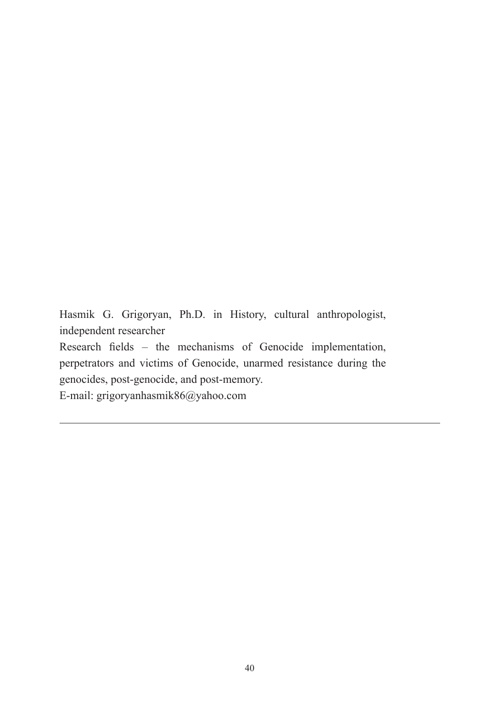Hasmik G. Grigoryan, Ph.D. in History, cultural anthropologist, independent researcher Research fields – the mechanisms of Genocide implementation, perpetrators and victims of Genocide, unarmed resistance during the genocides, post-genocide, and post-memory. E-mail: grigoryanhasmik86@yahoo.com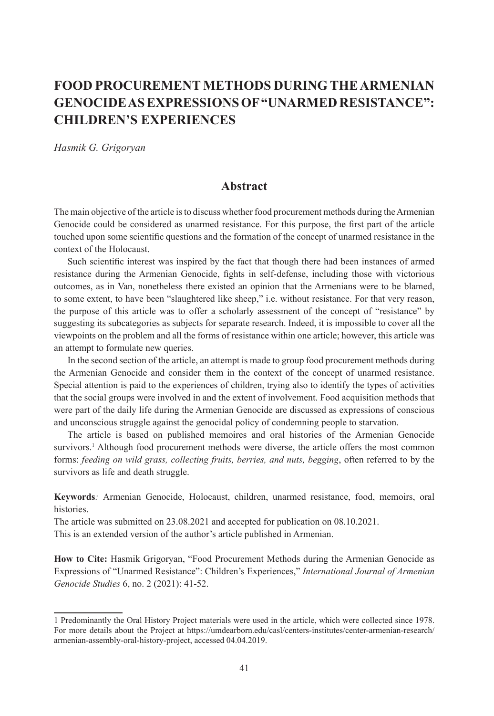# **FOOD PROCUREMENT METHODS DURING THE ARMENIAN GENOCIDE AS EXPRESSIONS OF "UNARMED RESISTANCE": CHILDREN'S EXPERIENCES**

*Hasmik G. Grigoryan* 

# **Abstract**

The main objective of the article is to discuss whether food procurement methods during the Armenian Genocide could be considered as unarmed resistance. For this purpose, the first part of the article touched upon some scientific questions and the formation of the concept of unarmed resistance in the context of the Holocaust.

Such scientific interest was inspired by the fact that though there had been instances of armed resistance during the Armenian Genocide, fights in self-defense, including those with victorious outcomes, as in Van, nonetheless there existed an opinion that the Armenians were to be blamed, to some extent, to have been "slaughtered like sheep," i.e. without resistance. For that very reason, the purpose of this article was to offer a scholarly assessment of the concept of "resistance" by suggesting its subcategories as subjects for separate research. Indeed, it is impossible to cover all the viewpoints on the problem and all the forms of resistance within one article; however, this article was an attempt to formulate new queries.

In the second section of the article, an attempt is made to group food procurement methods during the Armenian Genocide and consider them in the context of the concept of unarmed resistance. Special attention is paid to the experiences of children, trying also to identify the types of activities that the social groups were involved in and the extent of involvement. Food acquisition methods that were part of the daily life during the Armenian Genocide are discussed as expressions of conscious and unconscious struggle against the genocidal policy of condemning people to starvation.

The article is based on published memoires and oral histories of the Armenian Genocide survivors.<sup>1</sup> Although food procurement methods were diverse, the article offers the most common forms: *feeding on wild grass, collecting fruits, berries, and nuts, begging*, often referred to by the survivors as life and death struggle.

**Keywords***:* Armenian Genocide, Holocaust, children, unarmed resistance, food, memoirs, oral histories.

The article was submitted on 23.08.2021 and accepted for publication on 08.10.2021.

This is an extended version of the author's article published in Armenian.

**How to Cite:** Hasmik Grigoryan, "Food Procurement Methods during the Armenian Genocide as Expressions of "Unarmed Resistance": Children's Experiences," *International Journal of Armenian Genocide Studies* 6, no. 2 (2021): 41-52.

<sup>1</sup> Predominantly the Oral History Project materials were used in the article, which were collected since 1978. For more details about the Project at https://umdearborn.edu/casl/centers-institutes/center-armenian-research/ armenian-assembly-oral-history-project, accessed 04.04.2019.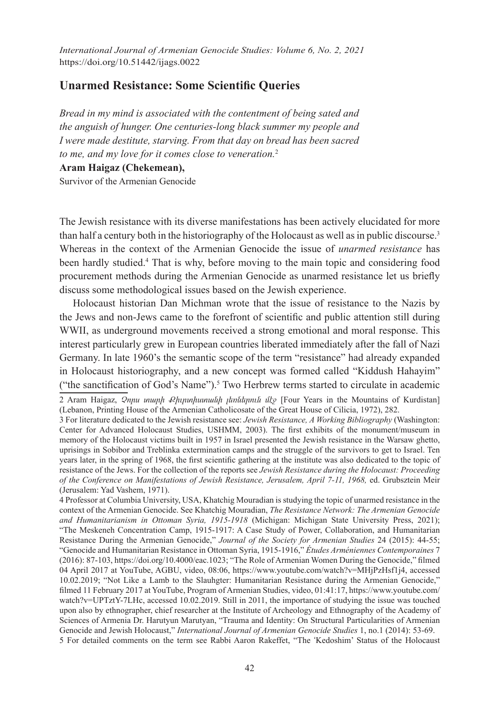*International Journal of Armenian Genocide Studies: Volume 6, No. 2, 2021* https://doi.org/10.51442/ijags.0022

## **Unarmed Resistance: Some Scientific Queries**

*Bread in my mind is associated with the contentment of being sated and the anguish of hunger. One centuries-long black summer my people and I were made destitute, starving. From that day on bread has been sacred to me, and my love for it comes close to veneration.*<sup>2</sup>

**Aram Haigaz (Chekemean),**

Survivor of the Armenian Genocide

The Jewish resistance with its diverse manifestations has been actively elucidated for more than half a century both in the historiography of the Holocaust as well as in public discourse.<sup>3</sup> Whereas in the context of the Armenian Genocide the issue of *unarmed resistance* has been hardly studied.<sup>4</sup> That is why, before moving to the main topic and considering food procurement methods during the Armenian Genocide as unarmed resistance let us briefly discuss some methodological issues based on the Jewish experience.

Holocaust historian Dan Michman wrote that the issue of resistance to the Nazis by the Jews and non-Jews came to the forefront of scientific and public attention still during WWII, as underground movements received a strong emotional and moral response. This interest particularly grew in European countries liberated immediately after the fall of Nazi Germany. In late 1960's the semantic scope of the term "resistance" had already expanded in Holocaust historiography, and a new concept was formed called "Kiddush Hahayim" ("the sanctification of God's Name").<sup>5</sup> Two Herbrew terms started to circulate in academic

4 Professor at Columbia University, USA, Khatchig Mouradian is studying the topic of unarmed resistance in the context of the Armenian Genocide. See Khatchig Mouradian, *The Resistance Network: The Armenian Genocide and Humanitarianism in Ottoman Syria, 1915-1918* (Michigan: Michigan State University Press, 2021); "The Meskeneh Concentration Camp, 1915-1917: A Case Study of Power, Collaboration, and Humanitarian Resistance During the Armenian Genocide," *Journal of the Society for Armenian Studies* 24 (2015): 44-55; "Genocide and Humanitarian Resistance in Ottoman Syria, 1915-1916," *Études Arméniennes Contemporaines* 7 (2016): 87-103, https://doi.org/10.4000/eac.1023; "The Role of Armenian Women During the Genocide," filmed 04 April 2017 at YouTube, AGBU, video, 08:06, https://www.youtube.com/watch?v=MHjPzHsf1j4, accessed 10.02.2019; "Not Like a Lamb to the Slauhgter: Humanitarian Resistance during the Armenian Genocide," filmed 11 February 2017 at YouTube, Program of Armenian Studies, video, 01:41:17, https://www.youtube.com/ watch?v=UPTztY-7LHc, accessed 10.02.2019. Still in 2011, the importance of studying the issue was touched upon also by ethnographer, chief researcher at the Institute of Archeology and Ethnography of the Academy of Sciences of Armenia Dr. Harutyun Marutyan, "Trauma and Identity: On Structural Particularities of Armenian Genocide and Jewish Holocaust," *International Journal of Armenian Genocide Studies* 1, no.1 (2014): 53-69.

5 For detailed comments on the term see Rabbi Aaron Rakeffet, "The 'Kedoshim' Status of the Holocaust

<sup>2</sup> Aram Haigaz, *Չորս տարի Քիւրտիստանի լեռներուն մէջ* [Four Years in the Mountains of Kurdistan] (Lebanon, Printing House of the Armenian Catholicosate of the Great House of Cilicia, 1972), 282.

<sup>3</sup> For literature dedicated to the Jewish resistance see: *Jewish Resistance, A Working Bibliography* (Washington: Center for Advanced Holocaust Studies, USHMM, 2003). The first exhibits of the monument/museum in memory of the Holocaust victims built in 1957 in Israel presented the Jewish resistance in the Warsaw ghetto, uprisings in Sobibor and Treblinka extermination camps and the struggle of the survivors to get to Israel. Ten years later, in the spring of 1968, the first scientific gathering at the institute was also dedicated to the topic of resistance of the Jews. For the collection of the reports see *Jewish Resistance during the Holocaust: Proceeding of the Conference on Manifestations of Jewish Resistance, Jerusalem, April 7-11, 1968,* ed. Grubsztein Meir (Jerusalem: Yad Vashem, 1971).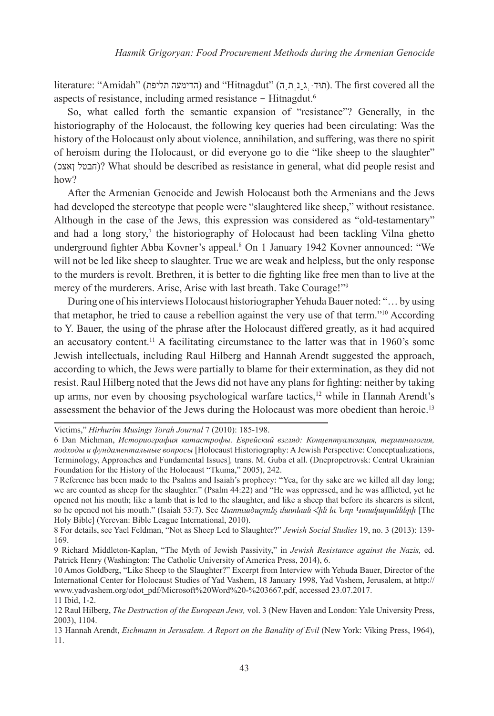literature: "Amidah" (הדימעה תליפת) and "Hitnagdut" (תוּדּ. גַנְתְהָ, The first covered all the aspects of resistance, including armed resistance - Hitnagdut.6

So, what called forth the semantic expansion of "resistance"? Generally, in the historiography of the Holocaust, the following key queries had been circulating: Was the history of the Holocaust only about violence, annihilation, and suffering, was there no spirit of heroism during the Holocaust, or did everyone go to die "like sheep to the slaughter" (ןאצכ חבטל ?(What should be described as resistance in general, what did people resist and how?

After the Armenian Genocide and Jewish Holocaust both the Armenians and the Jews had developed the stereotype that people were "slaughtered like sheep," without resistance. Although in the case of the Jews, this expression was considered as "old-testamentary" and had a long story,<sup>7</sup> the historiography of Holocaust had been tackling Vilna ghetto underground fighter Abba Kovner's appeal.<sup>8</sup> On 1 January 1942 Kovner announced: "We will not be led like sheep to slaughter. True we are weak and helpless, but the only response to the murders is revolt. Brethren, it is better to die fighting like free men than to live at the mercy of the murderers. Arise, Arise with last breath. Take Courage!"<sup>9</sup>

During one of his interviews Holocaust historiographer Yehuda Bauer noted: "…by using that metaphor, he tried to cause a rebellion against the very use of that term."10 According to Y. Bauer, the using of the phrase after the Holocaust differed greatly, as it had acquired an accusatory content.11 A facilitating circumstance to the latter was that in 1960's some Jewish intellectuals, including Raul Hilberg and Hannah Arendt suggested the approach, according to which, the Jews were partially to blame for their extermination, as they did not resist. Raul Hilberg noted that the Jews did not have any plans for fighting: neither by taking up arms, nor even by choosing psychological warfare tactics,<sup>12</sup> while in Hannah Arendt's assessment the behavior of the Jews during the Holocaust was more obedient than heroic.<sup>13</sup>

Victims," *Hirhurim Musings Torah Journal* 7 (2010): 185-198.

<sup>6</sup> Dan Michman, *Историография катастрофы. Еврейский взгляд: Концептуализация, терминология, подходы и фундаментальные вопросы* [Holocaust Historiography: A Jewish Perspective: Conceptualizations, Terminology, Approaches and Fundamental Issues]*,* trans. M. Guba et all. (Dnepropetrovsk: Central Ukrainian Foundation for the History of the Holocaust "Tkuma," 2005), 242.

<sup>7</sup>Reference has been made to the Psalms and Isaiah's prophecy: "Yea, for thy sake are we killed all day long; we are counted as sheep for the slaughter." (Psalm 44:22) and "He was oppressed, and he was afflicted, yet he opened not his mouth; like a lamb that is led to the slaughter, and like a sheep that before its shearers is silent, so he opened not his mouth." (Isaiah 53:7). See *Աստուածաշունչ մատեան Հին եւ Նոր Կտակարանների* [The Holy Bible] (Yerevan: Bible League International, 2010).

<sup>8</sup> For details, see Yael Feldman, "Not as Sheep Led to Slaughter?" *Jewish Social Studies* 19, no. 3 (2013): 139- 169.

<sup>9</sup> Richard Middleton-Kaplan, "The Myth of Jewish Passivity," in *Jewish Resistance against the Nazis,* ed. Patrick Henry (Washington: The Catholic University of America Press, 2014), 6.

<sup>10</sup> Amos Goldberg, "Like Sheep to the Slaughter?" Excerpt from Interview with Yehuda Bauer, Director of the International Center for Holocaust Studies of Yad Vashem, 18 January 1998, Yad Vashem, Jerusalem, at http:// www.yadvashem.org/odot\_pdf/Microsoft%20Word%20-%203667.pdf, accessed 23.07.2017.

<sup>11</sup> Ibid, 1-2.

<sup>12</sup> Raul Hilberg, *The Destruction of the European Jews,* vol. 3 (New Haven and London: Yale University Press, 2003), 1104.

<sup>13</sup> Hannah Arendt, *Eichmann in Jerusalem. A Report on the Banality of Evil* (New York: Viking Press, 1964), 11.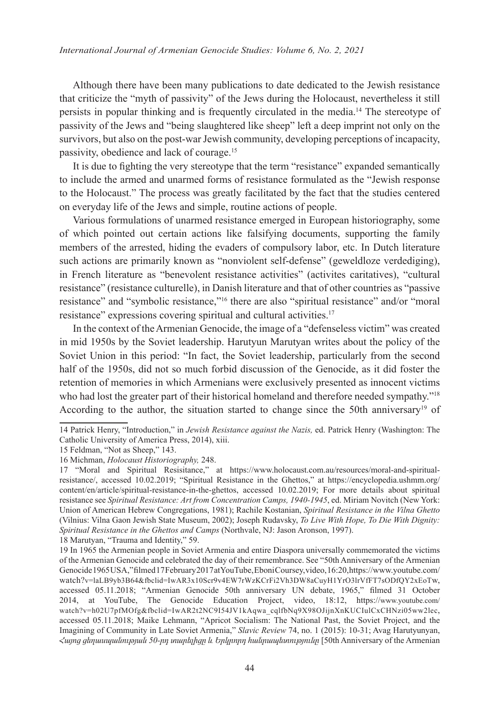Although there have been many publications to date dedicated to the Jewish resistance that criticize the "myth of passivity" of the Jews during the Holocaust, nevertheless it still persists in popular thinking and is frequently circulated in the media.14 The stereotype of passivity of the Jews and "being slaughtered like sheep" left a deep imprint not only on the survivors, but also on the post-war Jewish community, developing perceptions of incapacity, passivity, obedience and lack of courage.15

It is due to fighting the very stereotype that the term "resistance" expanded semantically to include the armed and unarmed forms of resistance formulated as the "Jewish response to the Holocaust." The process was greatly facilitated by the fact that the studies centered on everyday life of the Jews and simple, routine actions of people.

Various formulations of unarmed resistance emerged in European historiography, some of which pointed out certain actions like falsifying documents, supporting the family members of the arrested, hiding the evaders of compulsory labor, etc. In Dutch literature such actions are primarily known as "nonviolent self-defense" (geweldloze verdediging), in French literature as "benevolent resistance activities" (activites caritatives), "cultural resistance" (resistance culturelle), in Danish literature and that of other countries as "passive resistance" and "symbolic resistance,"<sup>16</sup> there are also "spiritual resistance" and/or "moral resistance" expressions covering spiritual and cultural activities.<sup>17</sup>

In the context of the Armenian Genocide, the image of a "defenseless victim" was created in mid 1950s by the Soviet leadership. Harutyun Marutyan writes about the policy of the Soviet Union in this period: "In fact, the Soviet leadership, particularly from the second half of the 1950s, did not so much forbid discussion of the Genocide, as it did foster the retention of memories in which Armenians were exclusively presented as innocent victims who had lost the greater part of their historical homeland and therefore needed sympathy."<sup>18</sup> According to the author, the situation started to change since the 50th anniversary<sup>19</sup> of

<sup>14</sup> Patrick Henry, "Introduction," in *Jewish Resistance against the Nazis,* ed. Patrick Henry (Washington: The Catholic University of America Press, 2014), xiii.

<sup>15</sup> Feldman, "Not as Sheep," 143.

<sup>16</sup> Michman, *Holocaust Historiography,* 248.

<sup>17 &</sup>quot;Moral and Spiritual Resisitance," at https://www.holocaust.com.au/resources/moral-and-spiritualresistance/, accessed 10.02.2019; "Spiritual Resistance in the Ghettos," at https://encyclopedia.ushmm.org/ content/en/article/spiritual-resistance-in-the-ghettos, accessed 10.02.2019; For more details about spiritual resistance see *Spiritual Resistance: Art from Concentration Camps, 1940-1945*, ed. Miriam Novitch (New York: Union of American Hebrew Congregations, 1981); Rachile Kostanian, *Spiritual Resistance in the Vilna Ghetto* (Vilnius: Vilna Gaon Jewish State Museum, 2002); Joseph Rudavsky, *To Live With Hope, To Die With Dignity: Spiritual Resistance in the Ghettos and Camps* (Northvale, NJ: Jason Aronson, 1997).

<sup>18</sup> Marutyan, "Trauma and Identity," 59.

<sup>19</sup> In 1965 the Armenian people in Soviet Armenia and entire Diaspora universally commemorated the victims of the Armenian Genocide and celebrated the day of their remembrance. See "50th Anniversary of the Armenian Genocide 1965 USA," filmed 17 February 2017 at YouTube, Eboni Coursey, video, 16:20, https://www.youtube.com/ watch?v=laLB9yb3B64&fbclid=IwAR3x10Scr9v4EW7rWzKCrFi2Vh3DW8aCuyH1YrO3lrVfFT7sODfQY2xEoTw, accessed 05.11.2018; "Armenian Genocide 50th anniversary UN debate, 1965," filmed 31 October 2014, at YouTube, The Genocide Education Project, video, 18:12, https://www.youtube.com/ watch?v=h02U7pfMOfg&fbclid=IwAR2t2NC9I54JV1kAqwa\_cqlfbNq9X98OJijnXnKUCIulCxCHNzi05ww2lec, accessed 05.11.2018; Maike Lehmann, "Apricot Socialism: The National Past, the Soviet Project, and the Imagining of Community in Late Soviet Armenia," *Slavic Review* 74, no. 1 (2015): 10-31; Avag Harutyunyan, *Հայոց ցեղասպանության 50‑րդ տարելիցը և Երկրորդ հանրապետությունը* [50th Anniversary of the Armenian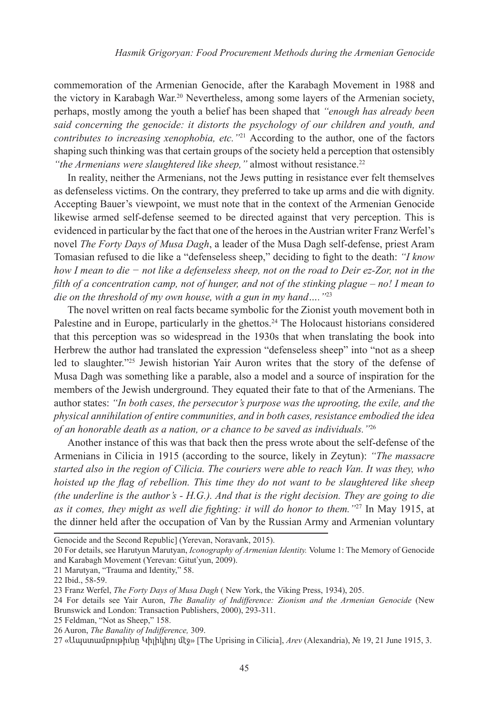commemoration of the Armenian Genocide, after the Karabagh Movement in 1988 and the victory in Karabagh War.20 Nevertheless, among some layers of the Armenian society, perhaps, mostly among the youth a belief has been shaped that *"enough has already been said concerning the genocide: it distorts the psychology of our children and youth, and contributes to increasing xenophobia, etc."*<sup>21</sup> According to the author, one of the factors shaping such thinking was that certain groups of the society held a perception that ostensibly *"the Armenians were slaughtered like sheep,"* almost without resistance.<sup>22</sup>

In reality, neither the Armenians, not the Jews putting in resistance ever felt themselves as defenseless victims. On the contrary, they preferred to take up arms and die with dignity. Accepting Bauer's viewpoint, we must note that in the context of the Armenian Genocide likewise armed self-defense seemed to be directed against that very perception. This is evidenced in particular by the fact that one of the heroes in the Austrian writer Franz Werfel's novel *The Forty Days of Musa Dagh*, a leader of the Musa Dagh self-defense, priest Aram Tomasian refused to die like a "defenseless sheep," deciding to fight to the death: *"I know how I mean to die − not like a defenseless sheep, not on the road to Deir ez-Zor, not in the filth of a concentration camp, not of hunger, and not of the stinking plague – no! I mean to die on the threshold of my own house, with a gun in my hand…."*23

The novel written on real facts became symbolic for the Zionist youth movement both in Palestine and in Europe, particularly in the ghettos.<sup>24</sup> The Holocaust historians considered that this perception was so widespread in the 1930s that when translating the book into Herbrew the author had translated the expression "defenseless sheep" into "not as a sheep led to slaughter."25 Jewish historian Yair Auron writes that the story of the defense of Musa Dagh was something like a parable, also a model and a source of inspiration for the members of the Jewish underground. They equated their fate to that of the Armenians. The author states: *"In both cases, the persecutor's purpose was the uprooting, the exile, and the physical annihilation of entire communities, and in both cases, resistance embodied the idea of an honorable death as a nation, or a chance to be saved as individuals."*<sup>26</sup>

Another instance of this was that back then the press wrote about the self-defense of the Armenians in Cilicia in 1915 (according to the source, likely in Zeytun): *"The massacre started also in the region of Cilicia. The couriers were able to reach Van. It was they, who hoisted up the flag of rebellion. This time they do not want to be slaughtered like sheep (the underline is the author's - H.G.). And that is the right decision. They are going to die as it comes, they might as well die fighting: it will do honor to them."*27 In May 1915, at the dinner held after the occupation of Van by the Russian Army and Armenian voluntary

Genocide and the Second Republic] (Yerevan, Noravank, 2015).

25 Feldman, "Not as Sheep," 158.

<sup>20</sup> For details, see Harutyun Marutyan, *Iconography of Armenian Identity.* Volume 1: The Memory of Genocide and Karabagh Movement (Yerevan: Gitut'yun, 2009).

<sup>21</sup> Marutyan, "Trauma and Identity," 58.

<sup>22</sup> Ibid., 58-59.

<sup>23</sup> Franz Werfel, *The Forty Days of Musa Dagh* ( New York, the Viking Press, 1934), 205.

<sup>24</sup> For details see Yair Auron, *The Banality of Indifference: Zionism and the Armenian Genocide* (New Brunswick and London: Transaction Publishers, 2000), 293-311.

<sup>26</sup> Auron, *The Banality of Indifference,* 309.

<sup>27 «</sup>Ապստամբութիւնը Կիլիկիոյ մէջ» [The Uprising in Cilicia], *Arev* (Alexandria), № 19, 21 June 1915, 3.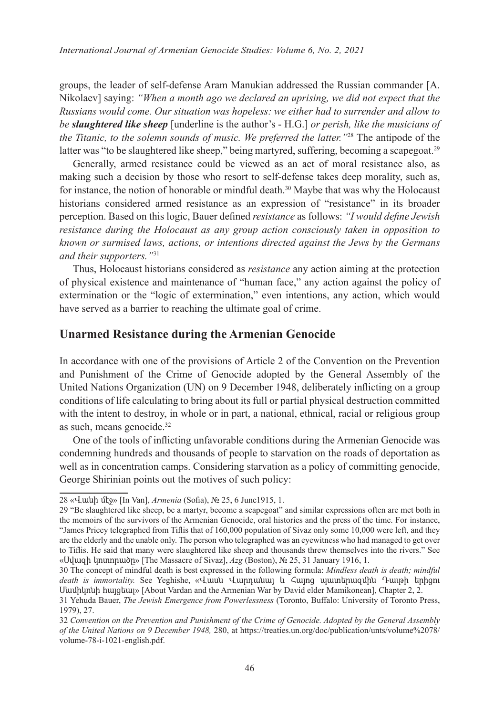groups, the leader of self-defense Aram Manukian addressed the Russian commander [A. Nikolaev] saying: *"When a month ago we declared an uprising, we did not expect that the Russians would come. Our situation was hopeless: we either had to surrender and allow to be slaughtered like sheep* [underline is the author's - H.G.] *or perish, like the musicians of the Titanic, to the solemn sounds of music. We preferred the latter."*28 The antipode of the latter was "to be slaughtered like sheep," being martyred, suffering, becoming a scapegoat.<sup>29</sup>

Generally, armed resistance could be viewed as an act of moral resistance also, as making such a decision by those who resort to self-defense takes deep morality, such as, for instance, the notion of honorable or mindful death.<sup>30</sup> Maybe that was why the Holocaust historians considered armed resistance as an expression of "resistance" in its broader perception. Based on this logic, Bauer defined *resistance* as follows: *"I would define Jewish resistance during the Holocaust as any group action consciously taken in opposition to known or surmised laws, actions, or intentions directed against the Jews by the Germans and their supporters."*<sup>31</sup>

Thus, Holocaust historians considered as *resistance* any action aiming at the protection of physical existence and maintenance of "human face," any action against the policy of extermination or the "logic of extermination," even intentions, any action, which would have served as a barrier to reaching the ultimate goal of crime.

# **Unarmed Resistance during the Armenian Genocide**

In accordance with one of the provisions of Article 2 of the Convention on the Prevention and Punishment of the Crime of Genocide adopted by the General Assembly of the United Nations Organization (UN) on 9 December 1948, deliberately inflicting on a group conditions of life calculating to bring about its full or partial physical destruction committed with the intent to destroy, in whole or in part, a national, ethnical, racial or religious group as such, means genocide.32

One of the tools of inflicting unfavorable conditions during the Armenian Genocide was condemning hundreds and thousands of people to starvation on the roads of deportation as well as in concentration camps. Considering starvation as a policy of committing genocide, George Shirinian points out the motives of such policy:

<sup>28 «</sup>Վանի մէջ» [In Van], *Armenia* (Sofia), № 25, 6 June1915, 1.

<sup>29</sup> "Be slaughtered like sheep, be a martyr, become a scapegoat" and similar expressions often are met both in the memoirs of the survivors of the Armenian Genocide, oral histories and the press of the time. For instance, "James Pricey telegraphed from Tiflis that of 160,000 population of Sivaz only some 10,000 were left, and they are the elderly and the unable only. The person who telegraphed was an eyewitness who had managed to get over to Tiflis. He said that many were slaughtered like sheep and thousands threw themselves into the rivers." See «Սվազի կոտորածը» [The Massacre of Sivaz], *Azg* (Boston), № 25, 31 January 1916, 1.

<sup>30</sup> The concept of mindful death is best expressed in the following formula: *Mindless death is death; mindful death is immortality.* See Yeghishe, «Վասն Վարդանայ եւ Հայոց պատերազմին Դաւթի երիցու Մամիկոնի հայցեալ» [About Vardan and the Armenian War by David elder Mamikonean], Chapter 2, 2.

<sup>31</sup> Yehuda Bauer, *The Jewish Emergence from Powerlessness* (Toronto, Buffalo: University of Toronto Press, 1979), 27.

<sup>32</sup> *Convention on the Prevention and Punishment of the Crime of Genocide. Adopted by the General Assembly of the United Nations on 9 December 1948,* 280, at https://treaties.un.org/doc/publication/unts/volume%2078/ volume-78-i-1021-english.pdf.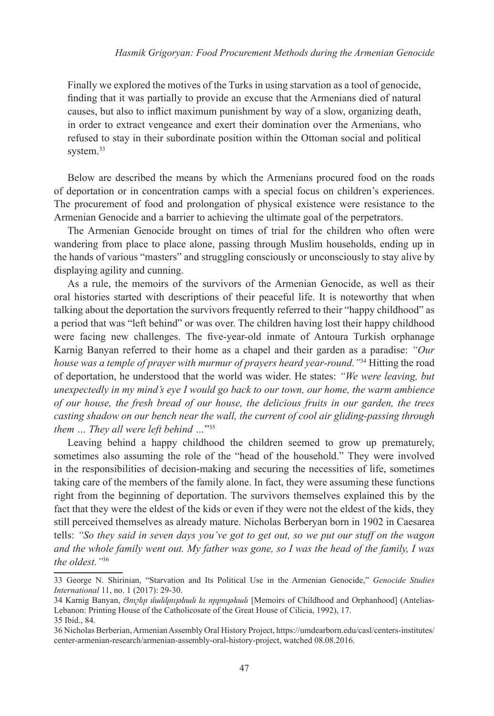Finally we explored the motives of the Turks in using starvation as a tool of genocide, finding that it was partially to provide an excuse that the Armenians died of natural causes, but also to inflict maximum punishment by way of a slow, organizing death, in order to extract vengeance and exert their domination over the Armenians, who refused to stay in their subordinate position within the Ottoman social and political system.<sup>33</sup>

Below are described the means by which the Armenians procured food on the roads of deportation or in concentration camps with a special focus on children's experiences. The procurement of food and prolongation of physical existence were resistance to the Armenian Genocide and a barrier to achieving the ultimate goal of the perpetrators.

The Armenian Genocide brought on times of trial for the children who often were wandering from place to place alone, passing through Muslim households, ending up in the hands of various "masters" and struggling consciously or unconsciously to stay alive by displaying agility and cunning.

As a rule, the memoirs of the survivors of the Armenian Genocide, as well as their oral histories started with descriptions of their peaceful life. It is noteworthy that when talking about the deportation the survivors frequently referred to their "happy childhood" as a period that was "left behind" or was over. The children having lost their happy childhood were facing new challenges. The five-year-old inmate of Antoura Turkish orphanage Karnig Banyan referred to their home as a chapel and their garden as a paradise: *"Our house was a temple of prayer with murmur of prayers heard year-round."*34 Hitting the road of deportation, he understood that the world was wider. He states: *"We were leaving, but unexpectedly in my mind's eye I would go back to our town, our home, the warm ambience of our house, the fresh bread of our house, the delicious fruits in our garden, the trees casting shadow on our bench near the wall, the current of cool air gliding-passing through them … They all were left behind …*"35

Leaving behind a happy childhood the children seemed to grow up prematurely, sometimes also assuming the role of the "head of the household." They were involved in the responsibilities of decision-making and securing the necessities of life, sometimes taking care of the members of the family alone. In fact, they were assuming these functions right from the beginning of deportation. The survivors themselves explained this by the fact that they were the eldest of the kids or even if they were not the eldest of the kids, they still perceived themselves as already mature. Nicholas Berberyan born in 1902 in Caesarea tells: *"So they said in seven days you've got to get out, so we put our stuff on the wagon and the whole family went out. My father was gone, so I was the head of the family, I was the oldest."*<sup>36</sup>

<sup>33</sup> George N. Shirinian, "Starvation and Its Political Use in the Armenian Genocide," *Genocide Studies International* 11, no. 1 (2017): 29-30.

<sup>34</sup> Karnig Banyan, *Յուշեր մանկութեան եւ որբութեան* [Memoirs of Childhood and Orphanhood] (Antelias-Lebanon: Printing House of the Catholicosate of the Great House of Cilicia, 1992), 17. 35 Ibid., 84.

<sup>36</sup> Nicholas Berberian, Armenian Assembly Oral History Project, https://umdearborn.edu/casl/centers-institutes/ center-armenian-research/armenian-assembly-oral-history-project, watched 08.08.2016.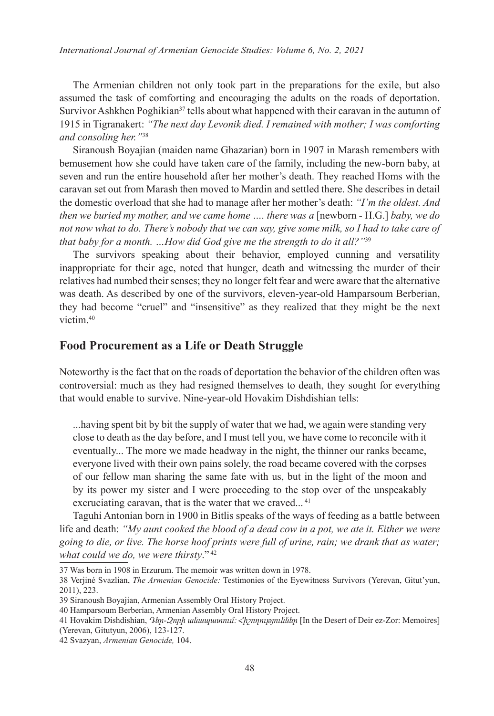The Armenian children not only took part in the preparations for the exile, but also assumed the task of comforting and encouraging the adults on the roads of deportation. Survivor Ashkhen Poghikian<sup>37</sup> tells about what happened with their caravan in the autumn of 1915 in Tigranakert: *"The next day Levonik died. I remained with mother; I was comforting and consoling her."*<sup>38</sup>

Siranoush Boyajian (maiden name Ghazarian) born in 1907 in Marash remembers with bemusement how she could have taken care of the family, including the new-born baby, at seven and run the entire household after her mother's death. They reached Homs with the caravan set out from Marash then moved to Mardin and settled there. She describes in detail the domestic overload that she had to manage after her mother's death: *"I'm the oldest. And then we buried my mother, and we came home .... there was a* [newborn - H.G.] *baby, we do not now what to do. There's nobody that we can say, give some milk, so I had to take care of that baby for a month. …How did God give me the strength to do it all?"*<sup>39</sup>

The survivors speaking about their behavior, employed cunning and versatility inappropriate for their age, noted that hunger, death and witnessing the murder of their relatives had numbed their senses; they no longer felt fear and were aware that the alternative was death. As described by one of the survivors, eleven-year-old Hamparsoum Berberian, they had become "cruel" and "insensitive" as they realized that they might be the next victim.40

## **Food Procurement as a Life or Death Struggle**

Noteworthy is the fact that on the roads of deportation the behavior of the children often was controversial: much as they had resigned themselves to death, they sought for everything that would enable to survive. Nine-year-old Hovakim Dishdishian tells:

...having spent bit by bit the supply of water that we had, we again were standing very close to death as the day before, and I must tell you, we have come to reconcile with it eventually... The more we made headway in the night, the thinner our ranks became, everyone lived with their own pains solely, the road became covered with the corpses of our fellow man sharing the same fate with us, but in the light of the moon and by its power my sister and I were proceeding to the stop over of the unspeakably excruciating caravan, that is the water that we craved...<sup>41</sup>

Taguhi Antonian born in 1900 in Bitlis speaks of the ways of feeding as a battle between life and death: *"My aunt cooked the blood of a dead cow in a pot, we ate it. Either we were going to die, or live. The horse hoof prints were full of urine, rain; we drank that as water; what could we do, we were thirsty*." <sup>42</sup>

<sup>37</sup> Was born in 1908 in Erzurum. The memoir was written down in 1978.

<sup>38</sup> Verjiné Svazlian, *The Armenian Genocide:* Testimonies of the Eyewitness Survivors (Yerevan, Gitut'yun, 2011), 223.

<sup>39</sup> Siranoush Boyajian, Armenian Assembly Oral History Project.

<sup>40</sup> Hamparsoum Berberian, Armenian Assembly Oral History Project.

<sup>41</sup> Hovakim Dishdishian, *Դեր-Զորի անապատում։ Հիշողություններ* [In the Desert of Deir ez-Zor: Memoires] (Yerevan, Gitutyun, 2006), 123-127.

<sup>42</sup> Svazyan, *Armenian Genocide,* 104.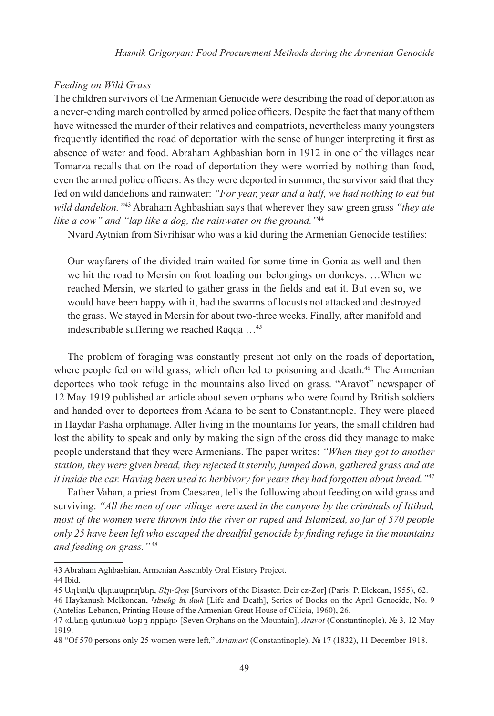#### *Feeding on Wild Grass*

The children survivors of the Armenian Genocide were describing the road of deportation as a never-ending march controlled by armed police officers. Despite the fact that many of them have witnessed the murder of their relatives and compatriots, nevertheless many youngsters frequently identified the road of deportation with the sense of hunger interpreting it first as absence of water and food. Abraham Aghbashian born in 1912 in one of the villages near Tomarza recalls that on the road of deportation they were worried by nothing than food, even the armed police officers. As they were deported in summer, the survivor said that they fed on wild dandelions and rainwater: *"For year, year and a half, we had nothing to eat but wild dandelion."*43 Abraham Aghbashian says that wherever they saw green grass *"they ate like a cow" and "lap like a dog, the rainwater on the ground."*<sup>44</sup>

Nvard Aytnian from Sivrihisar who was a kid during the Armenian Genocide testifies:

Our wayfarers of the divided train waited for some time in Gonia as well and then we hit the road to Mersin on foot loading our belongings on donkeys. …When we reached Mersin, we started to gather grass in the fields and eat it. But even so, we would have been happy with it, had the swarms of locusts not attacked and destroyed the grass. We stayed in Mersin for about two-three weeks. Finally, after manifold and indescribable suffering we reached Raqqa …<sup>45</sup>

The problem of foraging was constantly present not only on the roads of deportation, where people fed on wild grass, which often led to poisoning and death.<sup>46</sup> The Armenian deportees who took refuge in the mountains also lived on grass. "Aravot" newspaper of 12 May 1919 published an article about seven orphans who were found by British soldiers and handed over to deportees from Adana to be sent to Constantinople. They were placed in Haydar Pasha orphanage. After living in the mountains for years, the small children had lost the ability to speak and only by making the sign of the cross did they manage to make people understand that they were Armenians. The paper writes: *"When they got to another station, they were given bread, they rejected it sternly, jumped down, gathered grass and ate it inside the car. Having been used to herbivory for years they had forgotten about bread."*<sup>47</sup>

Father Vahan, a priest from Caesarea, tells the following about feeding on wild grass and surviving: *"All the men of our village were axed in the canyons by the criminals of Ittihad, most of the women were thrown into the river or raped and Islamized, so far of 570 people only 25 have been left who escaped the dreadful genocide by finding refuge in the mountains and feeding on grass."* <sup>48</sup>

<sup>43</sup> Abraham Aghbashian, Armenian Assembly Oral History Project.

<sup>44</sup> Ibid.

<sup>45</sup> Աղէտէն վերապրողներ, *Տէր-Զօր* [Survivors of the Disaster. Deir ez-Zor] (Paris: P. Elekean, 1955), 62.

<sup>46</sup> Haykanush Melkonean, *Կեանք եւ մահ* [Life and Death], Series of Books on the April Genocide, No. 9 (Antelias-Lebanon, Printing House of the Armenian Great House of Cilicia, 1960), 26.

<sup>47 «</sup>Լեռը գտնուած եօթը որբեր» [Seven Orphans on the Mountain], *Aravot* (Constantinople), № 3, 12 May 1919.

<sup>48 &</sup>quot;Of 570 persons only 25 women were left," *Ariamart* (Constantinople), № 17 (1832), 11 December 1918.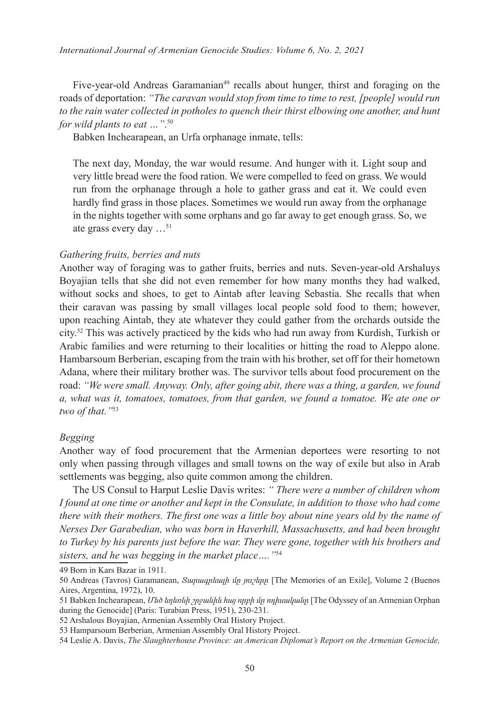Five-year-old Andreas Garamanian<sup>49</sup> recalls about hunger, thirst and foraging on the roads of deportation: *"The caravan would stop from time to time to rest, [people] would run to the rain water collected in potholes to quench their thirst elbowing one another, and hunt for wild plants to eat …"*. 50

Babken Inchearapean, an Urfa orphanage inmate, tells:

The next day, Monday, the war would resume. And hunger with it. Light soup and very little bread were the food ration. We were compelled to feed on grass. We would run from the orphanage through a hole to gather grass and eat it. We could even hardly find grass in those places. Sometimes we would run away from the orphanage in the nights together with some orphans and go far away to get enough grass. So, we ate grass every day …<sup>51</sup>

## *Gathering fruits, berries and nuts*

Another way of foraging was to gather fruits, berries and nuts. Seven-year-old Arshaluys Boyajian tells that she did not even remember for how many months they had walked, without socks and shoes, to get to Aintab after leaving Sebastia. She recalls that when their caravan was passing by small villages local people sold food to them; however, upon reaching Aintab, they ate whatever they could gather from the orchards outside the city.52 This was actively practiced by the kids who had run away from Kurdish, Turkish or Arabic families and were returning to their localities or hitting the road to Aleppo alone. Hambarsoum Berberian, escaping from the train with his brother, set off for their hometown Adana, where their military brother was. The survivor tells about food procurement on the road: *"We were small. Anyway. Only, after going abit, there was a thing, a garden, we found a, what was it, tomatoes, tomatoes, from that garden, we found a tomatoe. We ate one or two of that."*53

## *Begging*

Another way of food procurement that the Armenian deportees were resorting to not only when passing through villages and small towns on the way of exile but also in Arab settlements was begging, also quite common among the children.

The US Consul to Harput Leslie Davis writes: *" There were a number of children whom I found at one time or another and kept in the Consulate, in addition to those who had come there with their mothers. The first one was a little boy about nine years old by the name of Nerses Der Garabedian, who was born in Haverhill, Massachusetts, and had been brought to Turkey by his parents just before the war. They were gone, together with his brothers and sisters, and he was begging in the market place…."*<sup>54</sup>

49 Born in Kars Bazar in 1911.

<sup>50</sup> Andreas (Tavros) Garamanean, *Տարագրեալի մը յուշերը* [The Memories of an Exile], Volume 2 (Buenos Aires, Argentina, 1972), 10.

<sup>51</sup> Babken Inchearapean, *Մեծ եղեռնի շրջանին հայ որբի մը ոդիսականը* [The Odyssey of an Armenian Orphan during the Genocide] (Paris: Turabian Press, 1951), 230-231.

<sup>52</sup> Arshalous Boyajian, Armenian Assembly Oral History Project.

<sup>53</sup> Hamparsoum Berberian, Armenian Assembly Oral History Project.

<sup>54</sup> Leslie A. Davis, *The Slaughterhouse Province: an American Diplomat's Report on the Armenian Genocide,*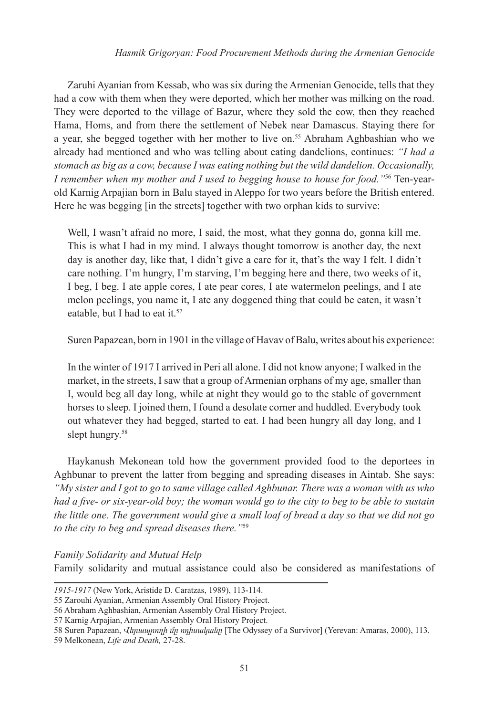Zaruhi Ayanian from Kessab, who was six during the Armenian Genocide, tells that they had a cow with them when they were deported, which her mother was milking on the road. They were deported to the village of Bazur, where they sold the cow, then they reached Hama, Homs, and from there the settlement of Nebek near Damascus. Staying there for a year, she begged together with her mother to live on.<sup>55</sup> Abraham Aghbashian who we already had mentioned and who was telling about eating dandelions, continues: *"I had a stomach as big as a cow, because I was eating nothing but the wild dandelion. Occasionally, I remember when my mother and I used to begging house to house for food."*56 Ten-yearold Karnig Arpajian born in Balu stayed in Aleppo for two years before the British entered. Here he was begging [in the streets] together with two orphan kids to survive:

Well, I wasn't afraid no more, I said, the most, what they gonna do, gonna kill me. This is what I had in my mind. I always thought tomorrow is another day, the next day is another day, like that, I didn't give a care for it, that's the way I felt. I didn't care nothing. I'm hungry, I'm starving, I'm begging here and there, two weeks of it, I beg, I beg. I ate apple cores, I ate pear cores, I ate watermelon peelings, and I ate melon peelings, you name it, I ate any doggened thing that could be eaten, it wasn't eatable, but I had to eat it.<sup>57</sup>

Suren Papazean, born in 1901 in the village of Havav of Balu, writes about his experience:

In the winter of 1917 I arrived in Peri all alone. I did not know anyone; I walked in the market, in the streets, I saw that a group of Armenian orphans of my age, smaller than I, would beg all day long, while at night they would go to the stable of government horses to sleep. I joined them, I found a desolate corner and huddled. Everybody took out whatever they had begged, started to eat. I had been hungry all day long, and I slept hungry.<sup>58</sup>

Haykanush Mekonean told how the government provided food to the deportees in Aghbunar to prevent the latter from begging and spreading diseases in Aintab. She says: *"My sister and I got to go to same village called Aghbunar. There was a woman with us who had a five- or six-year-old boy; the woman would go to the city to beg to be able to sustain the little one. The government would give a small loaf of bread a day so that we did not go to the city to beg and spread diseases there."*<sup>59</sup>

*Family Solidarity and Mutual Help* 

Family solidarity and mutual assistance could also be considered as manifestations of

*<sup>1915-1917</sup>* (New York, Aristide D. Caratzas, 1989), 113-114.

<sup>55</sup> Zarouhi Ayanian, Armenian Assembly Oral History Project.

<sup>56</sup> Abraham Aghbashian, Armenian Assembly Oral History Project.

<sup>57</sup> Karnig Arpajian, Armenian Assembly Oral History Project.

<sup>58</sup> Suren Papazean, *Վերապրողի մը ոդիսականը* [The Odyssey of a Survivor] (Yerevan: Amaras, 2000), 113.

<sup>59</sup> Melkonean, *Life and Death,* 27-28.